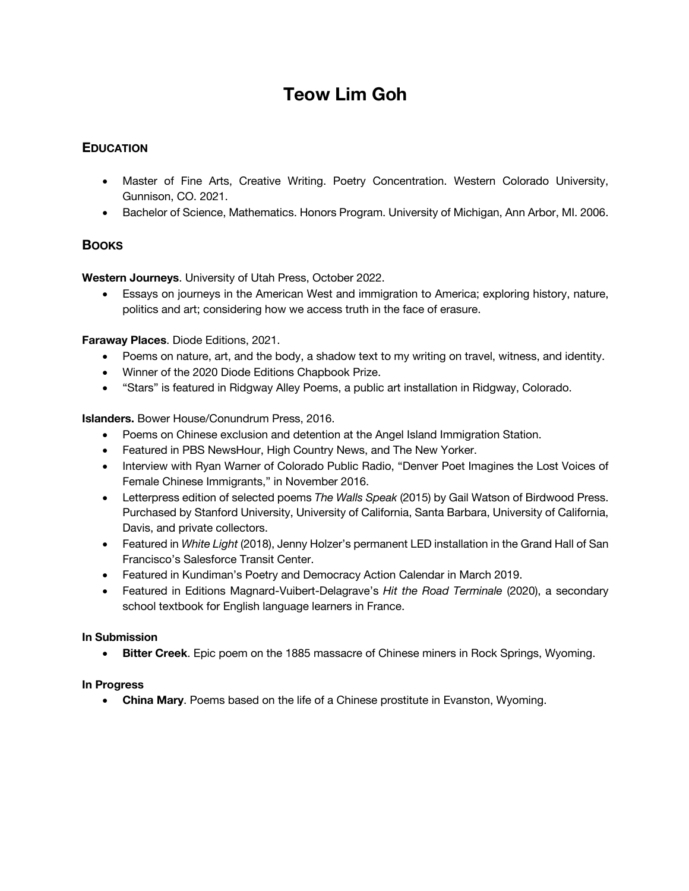# **Teow Lim Goh**

# **EDUCATION**

- Master of Fine Arts, Creative Writing. Poetry Concentration. Western Colorado University, Gunnison, CO. 2021.
- Bachelor of Science, Mathematics. Honors Program. University of Michigan, Ann Arbor, MI. 2006.

## **BOOKS**

**Western Journeys**. University of Utah Press, October 2022.

• Essays on journeys in the American West and immigration to America; exploring history, nature, politics and art; considering how we access truth in the face of erasure.

**Faraway Places**. Diode Editions, 2021.

- Poems on nature, art, and the body, a shadow text to my writing on travel, witness, and identity.
- Winner of the 2020 Diode Editions Chapbook Prize.
- "Stars" is featured in Ridgway Alley Poems, a public art installation in Ridgway, Colorado.

**Islanders.** Bower House/Conundrum Press, 2016.

- Poems on Chinese exclusion and detention at the Angel Island Immigration Station.
- Featured in PBS NewsHour, High Country News, and The New Yorker.
- Interview with Ryan Warner of Colorado Public Radio, "Denver Poet Imagines the Lost Voices of Female Chinese Immigrants," in November 2016.
- Letterpress edition of selected poems *The Walls Speak* (2015) by Gail Watson of Birdwood Press. Purchased by Stanford University, University of California, Santa Barbara, University of California, Davis, and private collectors.
- Featured in *White Light* (2018), Jenny Holzer's permanent LED installation in the Grand Hall of San Francisco's Salesforce Transit Center.
- Featured in Kundiman's Poetry and Democracy Action Calendar in March 2019.
- Featured in Editions Magnard-Vuibert-Delagrave's *Hit the Road Terminale* (2020), a secondary school textbook for English language learners in France.

## **In Submission**

• **Bitter Creek**. Epic poem on the 1885 massacre of Chinese miners in Rock Springs, Wyoming.

## **In Progress**

• **China Mary**. Poems based on the life of a Chinese prostitute in Evanston, Wyoming.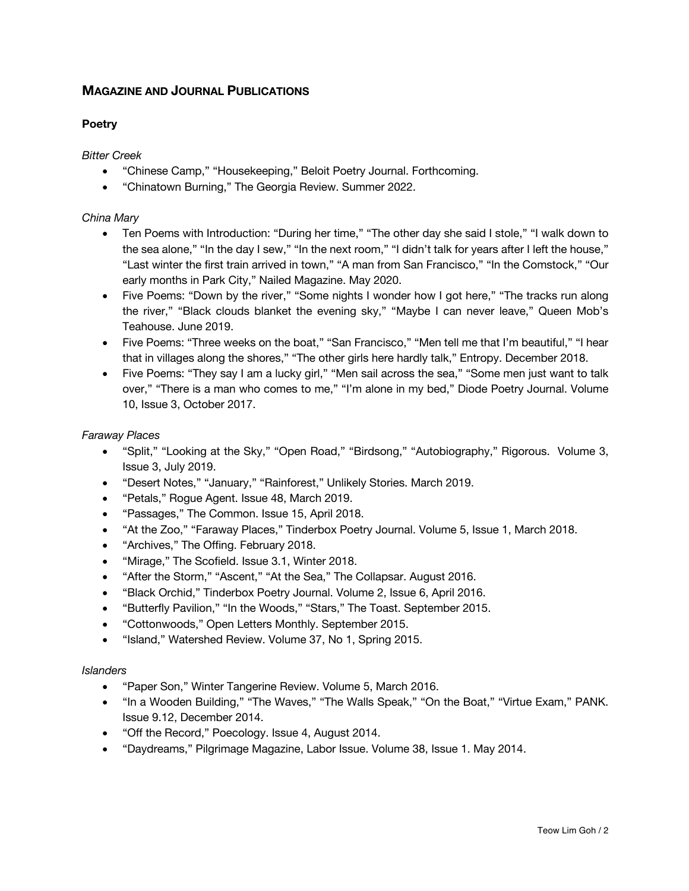# **MAGAZINE AND JOURNAL PUBLICATIONS**

## **Poetry**

*Bitter Creek*

- "Chinese Camp," "Housekeeping," Beloit Poetry Journal. Forthcoming.
- "Chinatown Burning," The Georgia Review. Summer 2022.

## *China Mary*

- Ten Poems with Introduction: "During her time," "The other day she said I stole," "I walk down to the sea alone," "In the day I sew," "In the next room," "I didn't talk for years after I left the house," "Last winter the first train arrived in town," "A man from San Francisco," "In the Comstock," "Our early months in Park City," Nailed Magazine. May 2020.
- Five Poems: "Down by the river," "Some nights I wonder how I got here," "The tracks run along the river," "Black clouds blanket the evening sky," "Maybe I can never leave," Queen Mob's Teahouse. June 2019.
- Five Poems: "Three weeks on the boat," "San Francisco," "Men tell me that I'm beautiful," "I hear that in villages along the shores," "The other girls here hardly talk," Entropy. December 2018.
- Five Poems: "They say I am a lucky girl," "Men sail across the sea," "Some men just want to talk over," "There is a man who comes to me," "I'm alone in my bed," Diode Poetry Journal. Volume 10, Issue 3, October 2017.

## *Faraway Places*

- "Split," "Looking at the Sky," "Open Road," "Birdsong," "Autobiography," Rigorous. Volume 3, Issue 3, July 2019.
- "Desert Notes," "January," "Rainforest," Unlikely Stories. March 2019.
- "Petals," Rogue Agent. Issue 48, March 2019.
- "Passages," The Common. Issue 15, April 2018.
- "At the Zoo," "Faraway Places," Tinderbox Poetry Journal. Volume 5, Issue 1, March 2018.
- "Archives," The Offing. February 2018.
- "Mirage," The Scofield. Issue 3.1, Winter 2018.
- "After the Storm," "Ascent," "At the Sea," The Collapsar. August 2016.
- "Black Orchid," Tinderbox Poetry Journal. Volume 2, Issue 6, April 2016.
- "Butterfly Pavilion," "In the Woods," "Stars," The Toast. September 2015.
- "Cottonwoods," Open Letters Monthly. September 2015.
- "Island," Watershed Review. Volume 37, No 1, Spring 2015.

#### *Islanders*

- "Paper Son," Winter Tangerine Review. Volume 5, March 2016.
- "In a Wooden Building," "The Waves," "The Walls Speak," "On the Boat," "Virtue Exam," PANK. Issue 9.12, December 2014.
- "Off the Record," Poecology. Issue 4, August 2014.
- "Daydreams," Pilgrimage Magazine, Labor Issue. Volume 38, Issue 1. May 2014.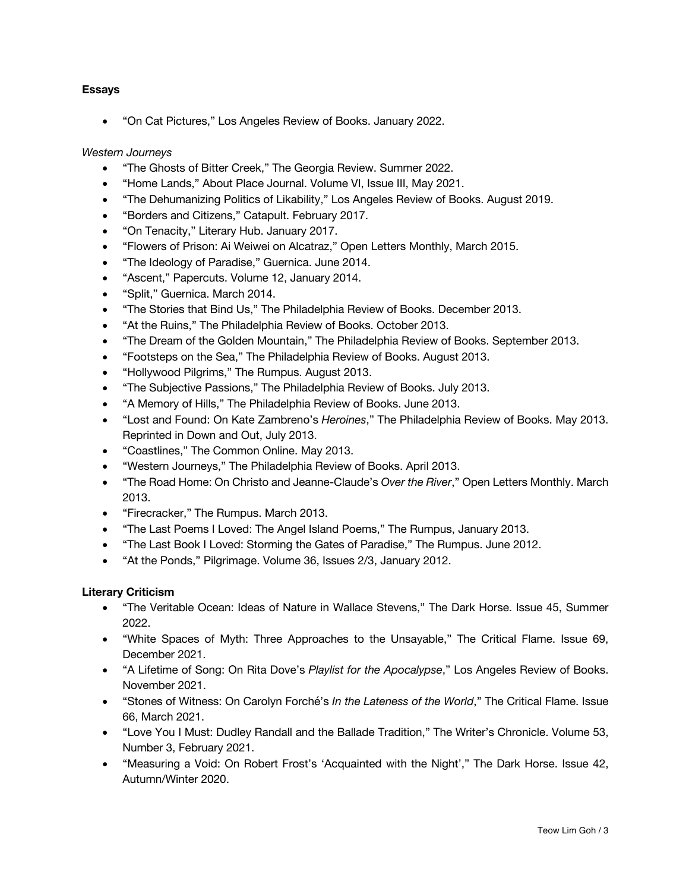## **Essays**

• "On Cat Pictures," Los Angeles Review of Books. January 2022.

#### *Western Journeys*

- "The Ghosts of Bitter Creek," The Georgia Review. Summer 2022.
- "Home Lands," About Place Journal. Volume VI, Issue III, May 2021.
- "The Dehumanizing Politics of Likability," Los Angeles Review of Books. August 2019.
- "Borders and Citizens," Catapult. February 2017.
- "On Tenacity," Literary Hub. January 2017.
- "Flowers of Prison: Ai Weiwei on Alcatraz," Open Letters Monthly, March 2015.
- "The Ideology of Paradise," Guernica. June 2014.
- "Ascent," Papercuts. Volume 12, January 2014.
- "Split," Guernica. March 2014.
- "The Stories that Bind Us," The Philadelphia Review of Books. December 2013.
- "At the Ruins," The Philadelphia Review of Books. October 2013.
- "The Dream of the Golden Mountain," The Philadelphia Review of Books. September 2013.
- "Footsteps on the Sea," The Philadelphia Review of Books. August 2013.
- "Hollywood Pilgrims," The Rumpus. August 2013.
- "The Subjective Passions," The Philadelphia Review of Books. July 2013.
- "A Memory of Hills," The Philadelphia Review of Books. June 2013.
- "Lost and Found: On Kate Zambreno's *Heroines*," The Philadelphia Review of Books. May 2013. Reprinted in Down and Out, July 2013.
- "Coastlines," The Common Online. May 2013.
- "Western Journeys," The Philadelphia Review of Books. April 2013.
- "The Road Home: On Christo and Jeanne-Claude's *Over the River*," Open Letters Monthly. March 2013.
- "Firecracker," The Rumpus. March 2013.
- "The Last Poems I Loved: The Angel Island Poems," The Rumpus, January 2013.
- "The Last Book I Loved: Storming the Gates of Paradise," The Rumpus. June 2012.
- "At the Ponds," Pilgrimage. Volume 36, Issues 2/3, January 2012.

## **Literary Criticism**

- "The Veritable Ocean: Ideas of Nature in Wallace Stevens," The Dark Horse. Issue 45, Summer 2022.
- "White Spaces of Myth: Three Approaches to the Unsayable," The Critical Flame. Issue 69, December 2021.
- "A Lifetime of Song: On Rita Dove's *Playlist for the Apocalypse*," Los Angeles Review of Books. November 2021.
- "Stones of Witness: On Carolyn Forché's *In the Lateness of the World*," The Critical Flame. Issue 66, March 2021.
- "Love You I Must: Dudley Randall and the Ballade Tradition," The Writer's Chronicle. Volume 53, Number 3, February 2021.
- "Measuring a Void: On Robert Frost's 'Acquainted with the Night'," The Dark Horse. Issue 42, Autumn/Winter 2020.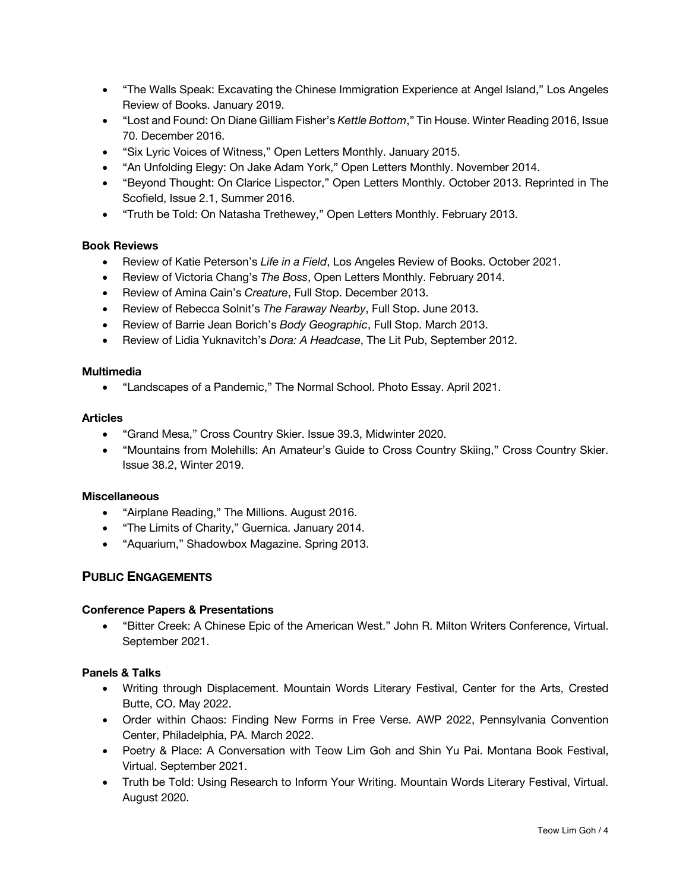- "The Walls Speak: Excavating the Chinese Immigration Experience at Angel Island," Los Angeles Review of Books. January 2019.
- "Lost and Found: On Diane Gilliam Fisher's *Kettle Bottom*," Tin House. Winter Reading 2016, Issue 70. December 2016.
- "Six Lyric Voices of Witness," Open Letters Monthly. January 2015.
- "An Unfolding Elegy: On Jake Adam York," Open Letters Monthly. November 2014.
- "Beyond Thought: On Clarice Lispector," Open Letters Monthly. October 2013. Reprinted in The Scofield, Issue 2.1, Summer 2016.
- "Truth be Told: On Natasha Trethewey," Open Letters Monthly. February 2013.

### **Book Reviews**

- Review of Katie Peterson's *Life in a Field*, Los Angeles Review of Books. October 2021.
- Review of Victoria Chang's *The Boss*, Open Letters Monthly. February 2014.
- Review of Amina Cain's *Creature*, Full Stop. December 2013.
- Review of Rebecca Solnit's *The Faraway Nearby*, Full Stop. June 2013.
- Review of Barrie Jean Borich's *Body Geographic*, Full Stop. March 2013.
- Review of Lidia Yuknavitch's *Dora: A Headcase*, The Lit Pub, September 2012.

#### **Multimedia**

• "Landscapes of a Pandemic," The Normal School. Photo Essay. April 2021.

### **Articles**

- "Grand Mesa," Cross Country Skier. Issue 39.3, Midwinter 2020.
- "Mountains from Molehills: An Amateur's Guide to Cross Country Skiing," Cross Country Skier. Issue 38.2, Winter 2019.

#### **Miscellaneous**

- "Airplane Reading," The Millions. August 2016.
- "The Limits of Charity," Guernica. January 2014.
- "Aquarium," Shadowbox Magazine. Spring 2013.

## **PUBLIC ENGAGEMENTS**

## **Conference Papers & Presentations**

• "Bitter Creek: A Chinese Epic of the American West." John R. Milton Writers Conference, Virtual. September 2021.

## **Panels & Talks**

- Writing through Displacement. Mountain Words Literary Festival, Center for the Arts, Crested Butte, CO. May 2022.
- Order within Chaos: Finding New Forms in Free Verse. AWP 2022, Pennsylvania Convention Center, Philadelphia, PA. March 2022.
- Poetry & Place: A Conversation with Teow Lim Goh and Shin Yu Pai. Montana Book Festival, Virtual. September 2021.
- Truth be Told: Using Research to Inform Your Writing. Mountain Words Literary Festival, Virtual. August 2020.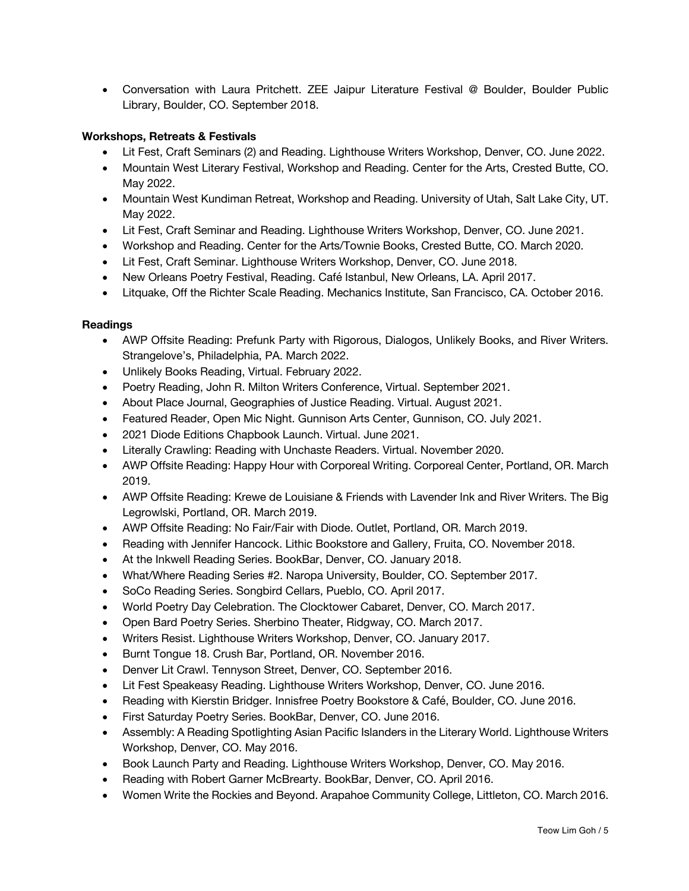• Conversation with Laura Pritchett. ZEE Jaipur Literature Festival @ Boulder, Boulder Public Library, Boulder, CO. September 2018.

## **Workshops, Retreats & Festivals**

- Lit Fest, Craft Seminars (2) and Reading. Lighthouse Writers Workshop, Denver, CO. June 2022.
- Mountain West Literary Festival, Workshop and Reading. Center for the Arts, Crested Butte, CO. May 2022.
- Mountain West Kundiman Retreat, Workshop and Reading. University of Utah, Salt Lake City, UT. May 2022.
- Lit Fest, Craft Seminar and Reading. Lighthouse Writers Workshop, Denver, CO. June 2021.
- Workshop and Reading. Center for the Arts/Townie Books, Crested Butte, CO. March 2020.
- Lit Fest, Craft Seminar. Lighthouse Writers Workshop, Denver, CO. June 2018.
- New Orleans Poetry Festival, Reading. Café Istanbul, New Orleans, LA. April 2017.
- Litquake, Off the Richter Scale Reading. Mechanics Institute, San Francisco, CA. October 2016.

### **Readings**

- AWP Offsite Reading: Prefunk Party with Rigorous, Dialogos, Unlikely Books, and River Writers. Strangelove's, Philadelphia, PA. March 2022.
- Unlikely Books Reading, Virtual. February 2022.
- Poetry Reading, John R. Milton Writers Conference, Virtual. September 2021.
- About Place Journal, Geographies of Justice Reading. Virtual. August 2021.
- Featured Reader, Open Mic Night. Gunnison Arts Center, Gunnison, CO. July 2021.
- 2021 Diode Editions Chapbook Launch. Virtual. June 2021.
- Literally Crawling: Reading with Unchaste Readers. Virtual. November 2020.
- AWP Offsite Reading: Happy Hour with Corporeal Writing. Corporeal Center, Portland, OR. March 2019.
- AWP Offsite Reading: Krewe de Louisiane & Friends with Lavender Ink and River Writers. The Big Legrowlski, Portland, OR. March 2019.
- AWP Offsite Reading: No Fair/Fair with Diode. Outlet, Portland, OR. March 2019.
- Reading with Jennifer Hancock. Lithic Bookstore and Gallery, Fruita, CO. November 2018.
- At the Inkwell Reading Series. BookBar, Denver, CO. January 2018.
- What/Where Reading Series #2. Naropa University, Boulder, CO. September 2017.
- SoCo Reading Series. Songbird Cellars, Pueblo, CO. April 2017.
- World Poetry Day Celebration. The Clocktower Cabaret, Denver, CO. March 2017.
- Open Bard Poetry Series. Sherbino Theater, Ridgway, CO. March 2017.
- Writers Resist. Lighthouse Writers Workshop, Denver, CO. January 2017.
- Burnt Tongue 18. Crush Bar, Portland, OR. November 2016.
- Denver Lit Crawl. Tennyson Street, Denver, CO. September 2016.
- Lit Fest Speakeasy Reading. Lighthouse Writers Workshop, Denver, CO. June 2016.
- Reading with Kierstin Bridger. Innisfree Poetry Bookstore & Café, Boulder, CO. June 2016.
- First Saturday Poetry Series. BookBar, Denver, CO. June 2016.
- Assembly: A Reading Spotlighting Asian Pacific Islanders in the Literary World. Lighthouse Writers Workshop, Denver, CO. May 2016.
- Book Launch Party and Reading. Lighthouse Writers Workshop, Denver, CO. May 2016.
- Reading with Robert Garner McBrearty. BookBar, Denver, CO. April 2016.
- Women Write the Rockies and Beyond. Arapahoe Community College, Littleton, CO. March 2016.